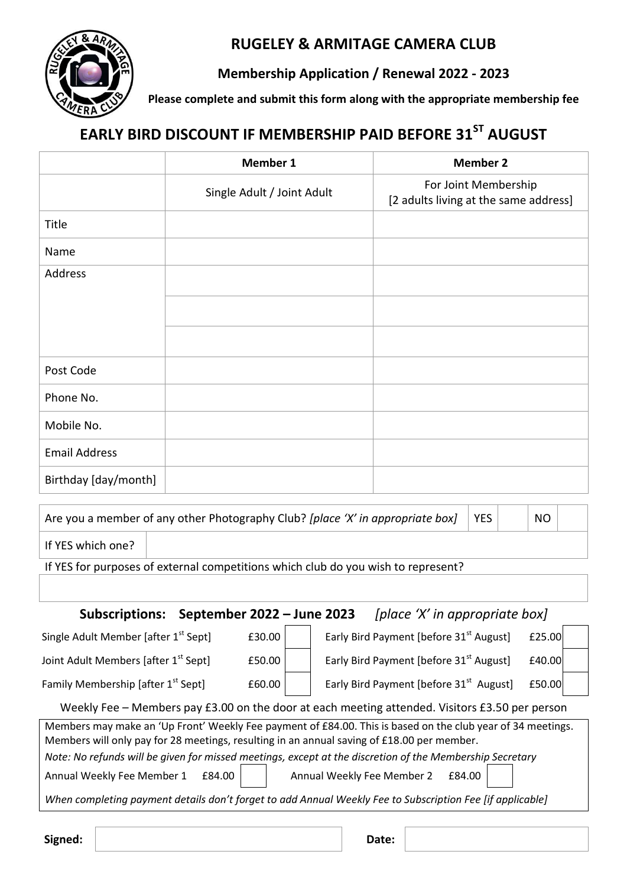

## **RUGELEY & ARMITAGE CAMERA CLUB**

## **Membership Application / Renewal 2022 - 2023**

**Please complete and submit this form along with the appropriate membership fee** 

# **EARLY BIRD DISCOUNT IF MEMBERSHIP PAID BEFORE 31ST AUGUST**

|                      | Member 1                   | <b>Member 2</b>                                               |
|----------------------|----------------------------|---------------------------------------------------------------|
|                      | Single Adult / Joint Adult | For Joint Membership<br>[2 adults living at the same address] |
| Title                |                            |                                                               |
| Name                 |                            |                                                               |
| Address              |                            |                                                               |
|                      |                            |                                                               |
|                      |                            |                                                               |
| Post Code            |                            |                                                               |
| Phone No.            |                            |                                                               |
| Mobile No.           |                            |                                                               |
| <b>Email Address</b> |                            |                                                               |
| Birthday [day/month] |                            |                                                               |
|                      |                            |                                                               |

| Are you a member of any other Photography Club? [place 'X' in appropriate box] $\ $ |  | <b>YES</b> |  | NO. |  |
|-------------------------------------------------------------------------------------|--|------------|--|-----|--|
| l If YES which one?                                                                 |  |            |  |     |  |
| If VEC for nurnaces of outarnal compatitions which slub do vou wish to represent?   |  |            |  |     |  |

If YES for purposes of external competitions which club do you wish to represent?

**Subscriptions: September 2022 – June 2023** *[place 'X' in appropriate box]*

| Single Adult Member [after 1 <sup>st</sup> Sept]                                               | £30.00 | Early Bird Payment [before 31 <sup>st</sup> August]<br>£25.00 |  |  |  |
|------------------------------------------------------------------------------------------------|--------|---------------------------------------------------------------|--|--|--|
| Joint Adult Members [after 1 <sup>st</sup> Sept]                                               | £50.00 | Early Bird Payment [before 31 <sup>st</sup> August]<br>£40.00 |  |  |  |
| Family Membership [after 1 <sup>st</sup> Sept]                                                 | £60.00 | Early Bird Payment [before 31 <sup>st</sup> August]<br>£50.00 |  |  |  |
| Weekly Eee – Members nay £3.00 on the door at each meeting attended. Visitors £3.50 per person |        |                                                               |  |  |  |

| <u>WEENIVER TIMEINDEIS DAV LOUD UIT LIJE UDOL AL EACH HIEELING ALLEHUEU. VISILDIS LOUD DEI DEISON T</u>     |
|-------------------------------------------------------------------------------------------------------------|
| Members may make an 'Up Front' Weekly Fee payment of £84.00. This is based on the club year of 34 meetings. |
| Members will only pay for 28 meetings, resulting in an annual saving of £18.00 per member.                  |

*Note: No refunds will be given for missed meetings, except at the discretion of the Membership Secretary* 

Annual Weekly Fee Member 1  $E$ 84.00 | | Annual Weekly Fee Member 2  $E$ 84.00

*When completing payment details don't forget to add Annual Weekly Fee to Subscription Fee [if applicable]* 

**Signed:**  $\vert$  **Date:**  $\vert$  **Date:**  $\vert$  **Date:**  $\vert$